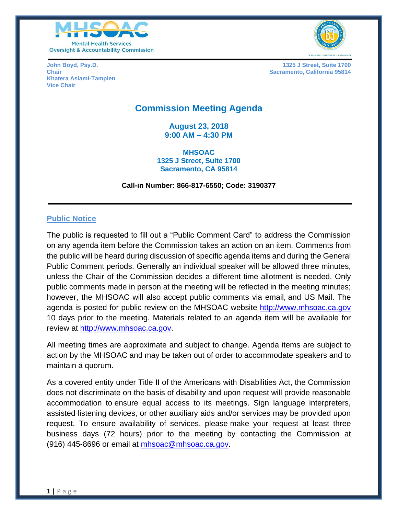



**Khatera Aslami-Tamplen Vice Chair**

**John Boyd, Psy.D. 1325 J Street, Suite 1700 Chair Sacramento, California 95814 Chair** Sacramento, California 95814

# **Commission Meeting Agenda**

**August 23, 2018 9:00 AM – 4:30 PM**

**MHSOAC 1325 J Street, Suite 1700 Sacramento, CA 95814**

**Call-in Number: 866-817-6550; Code: 3190377**

#### **Public Notice**

The public is requested to fill out a "Public Comment Card" to address the Commission on any agenda item before the Commission takes an action on an item. Comments from the public will be heard during discussion of specific agenda items and during the General Public Comment periods. Generally an individual speaker will be allowed three minutes, unless the Chair of the Commission decides a different time allotment is needed. Only public comments made in person at the meeting will be reflected in the meeting minutes; however, the MHSOAC will also accept public comments via email, and US Mail. The agenda is posted for public review on the MHSOAC website [http://www.mhsoac.ca.gov](http://www.mhsoac.ca.gov/) 10 days prior to the meeting. Materials related to an agenda item will be available for review at [http://www.mhsoac.ca.gov.](http://www.mhsoac.ca.gov/)

All meeting times are approximate and subject to change. Agenda items are subject to action by the MHSOAC and may be taken out of order to accommodate speakers and to maintain a quorum.

As a covered entity under Title II of the Americans with Disabilities Act, the Commission does not discriminate on the basis of disability and upon request will provide reasonable accommodation to ensure equal access to its meetings. Sign language interpreters, assisted listening devices, or other auxiliary aids and/or services may be provided upon request. To ensure availability of services, please make your request at least three business days (72 hours) prior to the meeting by contacting the Commission at (916) 445-8696 or email at [mhsoac@mhsoac.ca.gov.](mailto:mhsoac@mhsoac.ca.gov)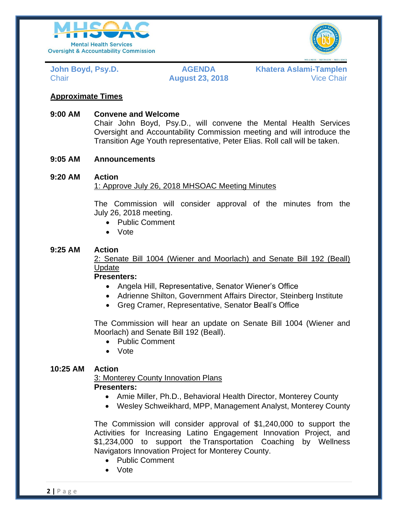



**John Boyd, Psy.D. AGENDA Khatera Aslami-Tamplen** Chair **August 23, 2018** Vice Chair

# **Approximate Times**

### **9:00 AM Convene and Welcome**

Chair John Boyd, Psy.D., will convene the Mental Health Services Oversight and Accountability Commission meeting and will introduce the Transition Age Youth representative, Peter Elias. Roll call will be taken.

#### **9:05 AM Announcements**

# **9:20 AM Action**

#### 1: Approve July 26, 2018 MHSOAC Meeting Minutes

The Commission will consider approval of the minutes from the July 26, 2018 meeting.

- Public Comment
- Vote

#### **9:25 AM Action**

2: Senate Bill 1004 (Wiener and Moorlach) and Senate Bill 192 (Beall) Update

**Presenters:**

- Angela Hill, Representative, Senator Wiener's Office
- Adrienne Shilton, Government Affairs Director, Steinberg Institute
- Greg Cramer, Representative, Senator Beall's Office

The Commission will hear an update on Senate Bill 1004 (Wiener and Moorlach) and Senate Bill 192 (Beall).

- Public Comment
- Vote

# **10:25 AM Action**

3: Monterey County Innovation Plans **Presenters:**

- Amie Miller, Ph.D., Behavioral Health Director, Monterey County
- Wesley Schweikhard, MPP, Management Analyst, Monterey County

The Commission will consider approval of \$1,240,000 to support the Activities for Increasing Latino Engagement Innovation Project, and \$1,234,000 to support the Transportation Coaching by Wellness Navigators Innovation Project for Monterey County.

- Public Comment
- Vote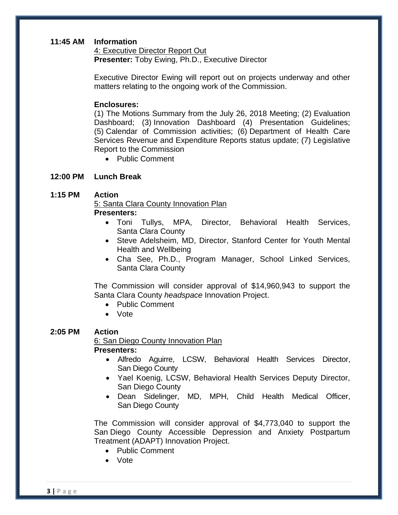#### **11:45 AM Information**

4: Executive Director Report Out **Presenter:** Toby Ewing, Ph.D., Executive Director

Executive Director Ewing will report out on projects underway and other matters relating to the ongoing work of the Commission.

#### **Enclosures:**

(1) The Motions Summary from the July 26, 2018 Meeting; (2) Evaluation Dashboard; (3) Innovation Dashboard (4) Presentation Guidelines; (5) Calendar of Commission activities; (6) Department of Health Care Services Revenue and Expenditure Reports status update; (7) Legislative Report to the Commission

Public Comment

#### **12:00 PM Lunch Break**

#### **1:15 PM Action**

5: Santa Clara County Innovation Plan **Presenters:**

- Toni Tullys, MPA, Director, Behavioral Health Services, Santa Clara County
- Steve Adelsheim, MD, Director, Stanford Center for Youth Mental Health and Wellbeing
- Cha See, Ph.D., Program Manager, School Linked Services, Santa Clara County

The Commission will consider approval of \$14,960,943 to support the Santa Clara County *headspace* Innovation Project.

- Public Comment
- Vote

#### **2:05 PM Action**

6: San Diego County Innovation Plan **Presenters:**

- Alfredo Aguirre, LCSW, Behavioral Health Services Director, San Diego County
- Yael Koenig, LCSW, Behavioral Health Services Deputy Director, San Diego County
- Dean Sidelinger, MD, MPH, Child Health Medical Officer, San Diego County

The Commission will consider approval of \$4,773,040 to support the San Diego County Accessible Depression and Anxiety Postpartum Treatment (ADAPT) Innovation Project.

- Public Comment
- Vote